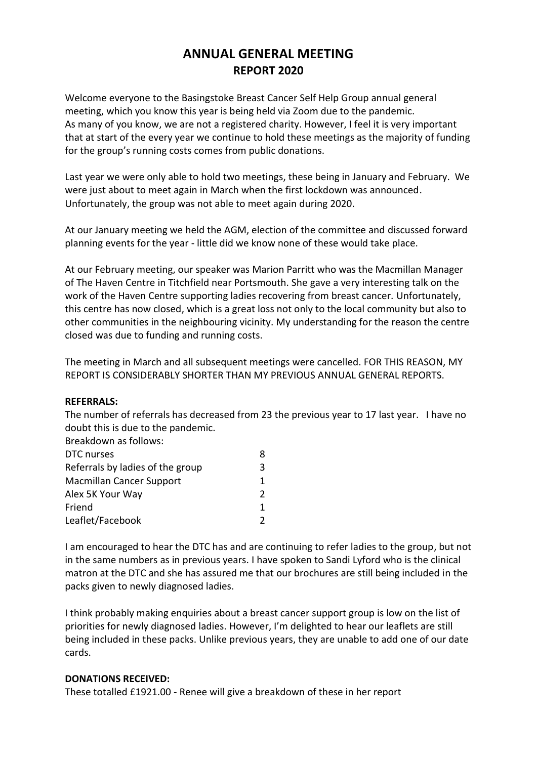# **ANNUAL GENERAL MEETING REPORT 2020**

Welcome everyone to the Basingstoke Breast Cancer Self Help Group annual general meeting, which you know this year is being held via Zoom due to the pandemic. As many of you know, we are not a registered charity. However, I feel it is very important that at start of the every year we continue to hold these meetings as the majority of funding for the group's running costs comes from public donations.

Last year we were only able to hold two meetings, these being in January and February. We were just about to meet again in March when the first lockdown was announced. Unfortunately, the group was not able to meet again during 2020.

At our January meeting we held the AGM, election of the committee and discussed forward planning events for the year - little did we know none of these would take place.

At our February meeting, our speaker was Marion Parritt who was the Macmillan Manager of The Haven Centre in Titchfield near Portsmouth. She gave a very interesting talk on the work of the Haven Centre supporting ladies recovering from breast cancer. Unfortunately, this centre has now closed, which is a great loss not only to the local community but also to other communities in the neighbouring vicinity. My understanding for the reason the centre closed was due to funding and running costs.

The meeting in March and all subsequent meetings were cancelled. FOR THIS REASON, MY REPORT IS CONSIDERABLY SHORTER THAN MY PREVIOUS ANNUAL GENERAL REPORTS.

# **REFERRALS:**

The number of referrals has decreased from 23 the previous year to 17 last year. I have no doubt this is due to the pandemic.

| Breakdown as follows:            |    |
|----------------------------------|----|
| DTC nurses                       |    |
| Referrals by ladies of the group | 3  |
| <b>Macmillan Cancer Support</b>  | 1. |
| Alex 5K Your Way                 |    |
| Friend                           | 1. |
| Leaflet/Facebook                 |    |

I am encouraged to hear the DTC has and are continuing to refer ladies to the group, but not in the same numbers as in previous years. I have spoken to Sandi Lyford who is the clinical matron at the DTC and she has assured me that our brochures are still being included in the packs given to newly diagnosed ladies.

I think probably making enquiries about a breast cancer support group is low on the list of priorities for newly diagnosed ladies. However, I'm delighted to hear our leaflets are still being included in these packs. Unlike previous years, they are unable to add one of our date cards.

# **DONATIONS RECEIVED:**

These totalled £1921.00 - Renee will give a breakdown of these in her report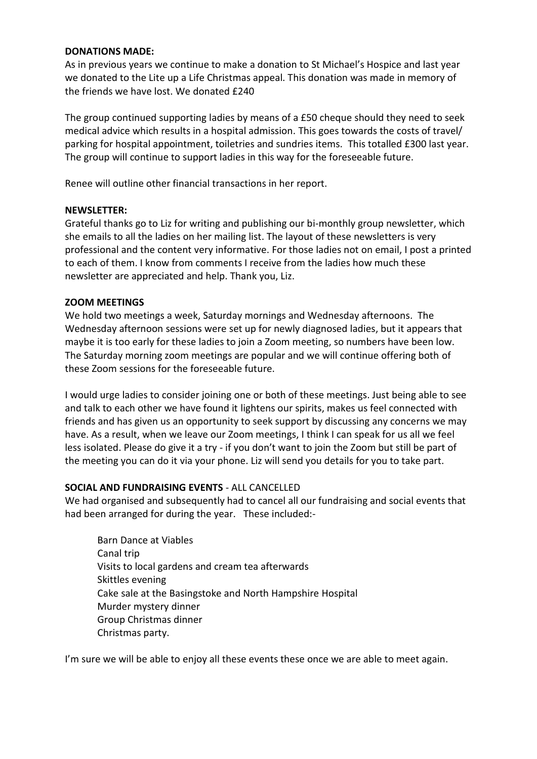## **DONATIONS MADE:**

As in previous years we continue to make a donation to St Michael's Hospice and last year we donated to the Lite up a Life Christmas appeal. This donation was made in memory of the friends we have lost. We donated £240

The group continued supporting ladies by means of a £50 cheque should they need to seek medical advice which results in a hospital admission. This goes towards the costs of travel/ parking for hospital appointment, toiletries and sundries items. This totalled £300 last year. The group will continue to support ladies in this way for the foreseeable future.

Renee will outline other financial transactions in her report.

# **NEWSLETTER:**

Grateful thanks go to Liz for writing and publishing our bi-monthly group newsletter, which she emails to all the ladies on her mailing list. The layout of these newsletters is very professional and the content very informative. For those ladies not on email, I post a printed to each of them. I know from comments I receive from the ladies how much these newsletter are appreciated and help. Thank you, Liz.

# **ZOOM MEETINGS**

We hold two meetings a week, Saturday mornings and Wednesday afternoons. The Wednesday afternoon sessions were set up for newly diagnosed ladies, but it appears that maybe it is too early for these ladies to join a Zoom meeting, so numbers have been low. The Saturday morning zoom meetings are popular and we will continue offering both of these Zoom sessions for the foreseeable future.

I would urge ladies to consider joining one or both of these meetings. Just being able to see and talk to each other we have found it lightens our spirits, makes us feel connected with friends and has given us an opportunity to seek support by discussing any concerns we may have. As a result, when we leave our Zoom meetings, I think I can speak for us all we feel less isolated. Please do give it a try - if you don't want to join the Zoom but still be part of the meeting you can do it via your phone. Liz will send you details for you to take part.

# **SOCIAL AND FUNDRAISING EVENTS** - ALL CANCELLED

We had organised and subsequently had to cancel all our fundraising and social events that had been arranged for during the year. These included:-

Barn Dance at Viables Canal trip Visits to local gardens and cream tea afterwards Skittles evening Cake sale at the Basingstoke and North Hampshire Hospital Murder mystery dinner Group Christmas dinner Christmas party.

I'm sure we will be able to enjoy all these events these once we are able to meet again.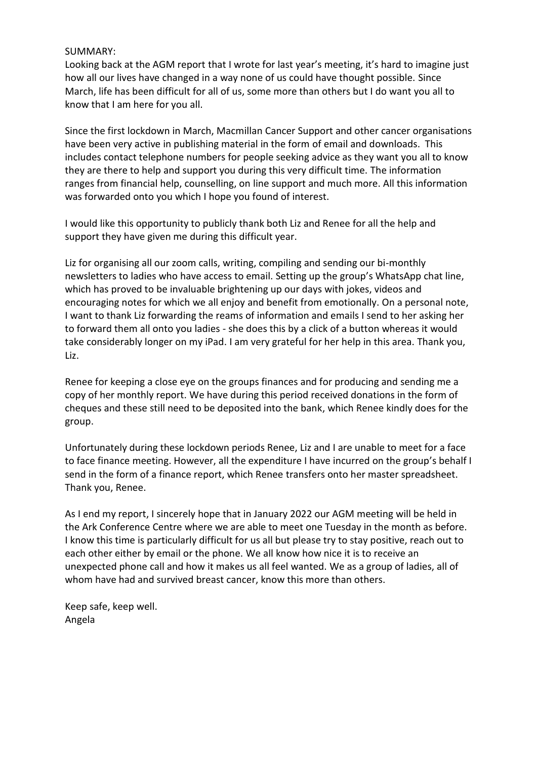# SUMMARY:

Looking back at the AGM report that I wrote for last year's meeting, it's hard to imagine just how all our lives have changed in a way none of us could have thought possible. Since March, life has been difficult for all of us, some more than others but I do want you all to know that I am here for you all.

Since the first lockdown in March, Macmillan Cancer Support and other cancer organisations have been very active in publishing material in the form of email and downloads. This includes contact telephone numbers for people seeking advice as they want you all to know they are there to help and support you during this very difficult time. The information ranges from financial help, counselling, on line support and much more. All this information was forwarded onto you which I hope you found of interest.

I would like this opportunity to publicly thank both Liz and Renee for all the help and support they have given me during this difficult year.

Liz for organising all our zoom calls, writing, compiling and sending our bi-monthly newsletters to ladies who have access to email. Setting up the group's WhatsApp chat line, which has proved to be invaluable brightening up our days with jokes, videos and encouraging notes for which we all enjoy and benefit from emotionally. On a personal note, I want to thank Liz forwarding the reams of information and emails I send to her asking her to forward them all onto you ladies - she does this by a click of a button whereas it would take considerably longer on my iPad. I am very grateful for her help in this area. Thank you, Liz.

Renee for keeping a close eye on the groups finances and for producing and sending me a copy of her monthly report. We have during this period received donations in the form of cheques and these still need to be deposited into the bank, which Renee kindly does for the group.

Unfortunately during these lockdown periods Renee, Liz and I are unable to meet for a face to face finance meeting. However, all the expenditure I have incurred on the group's behalf I send in the form of a finance report, which Renee transfers onto her master spreadsheet. Thank you, Renee.

As I end my report, I sincerely hope that in January 2022 our AGM meeting will be held in the Ark Conference Centre where we are able to meet one Tuesday in the month as before. I know this time is particularly difficult for us all but please try to stay positive, reach out to each other either by email or the phone. We all know how nice it is to receive an unexpected phone call and how it makes us all feel wanted. We as a group of ladies, all of whom have had and survived breast cancer, know this more than others.

Keep safe, keep well. Angela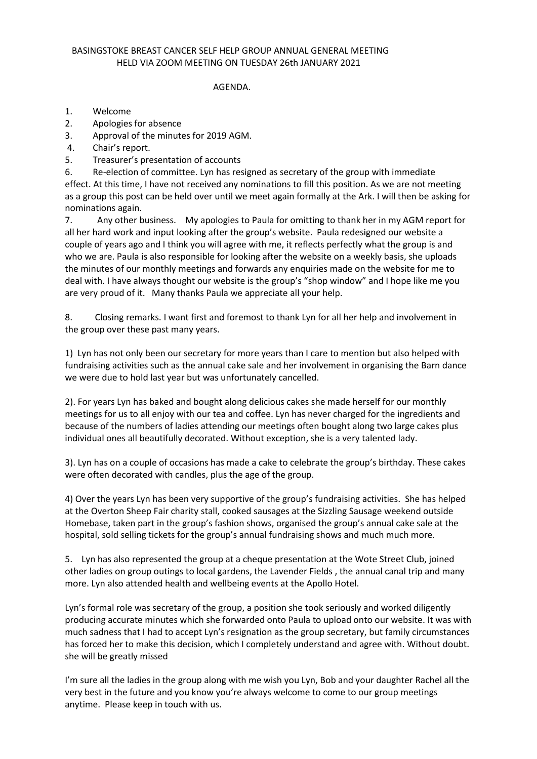#### BASINGSTOKE BREAST CANCER SELF HELP GROUP ANNUAL GENERAL MEETING HELD VIA ZOOM MEETING ON TUESDAY 26th JANUARY 2021

#### AGENDA.

- 1. Welcome
- 2. Apologies for absence
- 3. Approval of the minutes for 2019 AGM.
- 4. Chair's report.
- 5. Treasurer's presentation of accounts

6. Re-election of committee. Lyn has resigned as secretary of the group with immediate effect. At this time, I have not received any nominations to fill this position. As we are not meeting as a group this post can be held over until we meet again formally at the Ark. I will then be asking for nominations again.

7. Any other business. My apologies to Paula for omitting to thank her in my AGM report for all her hard work and input looking after the group's website. Paula redesigned our website a couple of years ago and I think you will agree with me, it reflects perfectly what the group is and who we are. Paula is also responsible for looking after the website on a weekly basis, she uploads the minutes of our monthly meetings and forwards any enquiries made on the website for me to deal with. I have always thought our website is the group's "shop window" and I hope like me you are very proud of it. Many thanks Paula we appreciate all your help.

8. Closing remarks. I want first and foremost to thank Lyn for all her help and involvement in the group over these past many years.

1) Lyn has not only been our secretary for more years than I care to mention but also helped with fundraising activities such as the annual cake sale and her involvement in organising the Barn dance we were due to hold last year but was unfortunately cancelled.

2). For years Lyn has baked and bought along delicious cakes she made herself for our monthly meetings for us to all enjoy with our tea and coffee. Lyn has never charged for the ingredients and because of the numbers of ladies attending our meetings often bought along two large cakes plus individual ones all beautifully decorated. Without exception, she is a very talented lady.

3). Lyn has on a couple of occasions has made a cake to celebrate the group's birthday. These cakes were often decorated with candles, plus the age of the group.

4) Over the years Lyn has been very supportive of the group's fundraising activities. She has helped at the Overton Sheep Fair charity stall, cooked sausages at the Sizzling Sausage weekend outside Homebase, taken part in the group's fashion shows, organised the group's annual cake sale at the hospital, sold selling tickets for the group's annual fundraising shows and much much more.

5. Lyn has also represented the group at a cheque presentation at the Wote Street Club, joined other ladies on group outings to local gardens, the Lavender Fields , the annual canal trip and many more. Lyn also attended health and wellbeing events at the Apollo Hotel.

Lyn's formal role was secretary of the group, a position she took seriously and worked diligently producing accurate minutes which she forwarded onto Paula to upload onto our website. It was with much sadness that I had to accept Lyn's resignation as the group secretary, but family circumstances has forced her to make this decision, which I completely understand and agree with. Without doubt. she will be greatly missed

I'm sure all the ladies in the group along with me wish you Lyn, Bob and your daughter Rachel all the very best in the future and you know you're always welcome to come to our group meetings anytime. Please keep in touch with us.